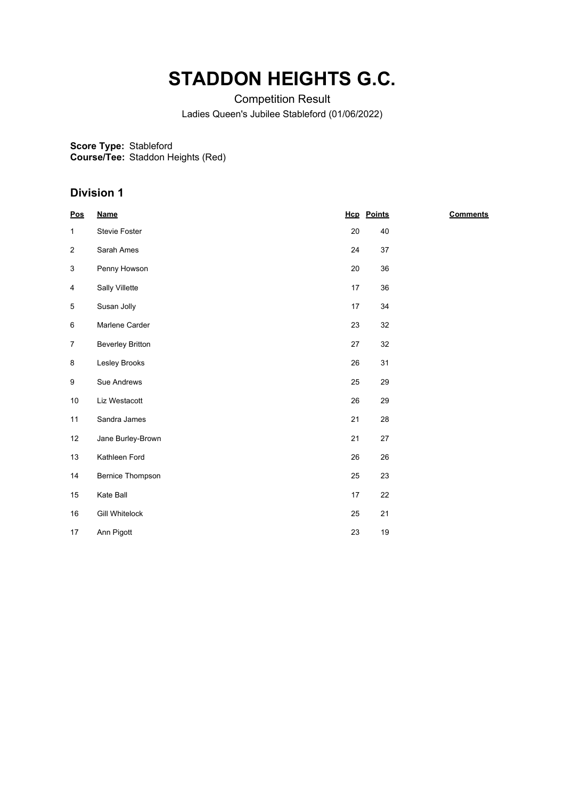## **STADDON HEIGHTS G.C.**

Competition Result

Ladies Queen's Jubilee Stableford (01/06/2022)

**Score Type:** Stableford

**Course/Tee:** Staddon Heights (Red)

## **Division 1**

| Pos            | <b>Name</b>             |    | <b>Hcp</b> Points | <b>Comments</b> |
|----------------|-------------------------|----|-------------------|-----------------|
| $\mathbf{1}$   | Stevie Foster           | 20 | 40                |                 |
| $\overline{2}$ | Sarah Ames              | 24 | 37                |                 |
| 3              | Penny Howson            | 20 | 36                |                 |
| 4              | Sally Villette          | 17 | 36                |                 |
| 5              | Susan Jolly             | 17 | 34                |                 |
| 6              | Marlene Carder          | 23 | 32                |                 |
| $\overline{7}$ | <b>Beverley Britton</b> | 27 | 32                |                 |
| 8              | Lesley Brooks           | 26 | 31                |                 |
| 9              | Sue Andrews             | 25 | 29                |                 |
| 10             | Liz Westacott           | 26 | 29                |                 |
| 11             | Sandra James            | 21 | 28                |                 |
| 12             | Jane Burley-Brown       | 21 | 27                |                 |
| 13             | Kathleen Ford           | 26 | 26                |                 |
| 14             | <b>Bernice Thompson</b> | 25 | 23                |                 |
| 15             | Kate Ball               | 17 | 22                |                 |
| 16             | <b>Gill Whitelock</b>   | 25 | 21                |                 |
| 17             | Ann Pigott              | 23 | $19$              |                 |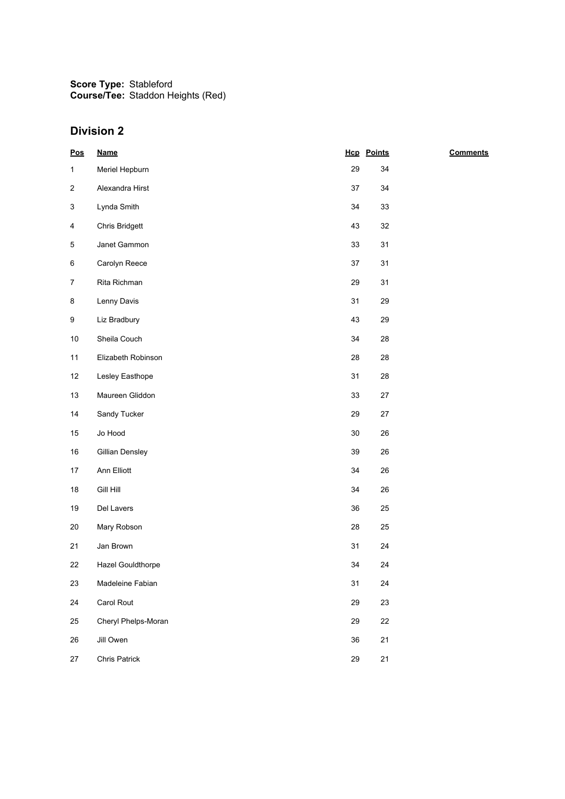**Score Type: Course/Tee:** Stableford Staddon Heights (Red)

## **Division 2**

| $\underline{\mathsf{Pos}}$ | <b>Name</b>         |    | <b>Hcp</b> Points | <b>Comments</b> |
|----------------------------|---------------------|----|-------------------|-----------------|
| $\mathbf{1}$               | Meriel Hepburn      | 29 | 34                |                 |
| $\overline{c}$             | Alexandra Hirst     | 37 | 34                |                 |
| 3                          | Lynda Smith         | 34 | 33                |                 |
| 4                          | Chris Bridgett      | 43 | 32                |                 |
| 5                          | Janet Gammon        | 33 | 31                |                 |
| 6                          | Carolyn Reece       | 37 | 31                |                 |
| $\overline{7}$             | Rita Richman        | 29 | 31                |                 |
| 8                          | Lenny Davis         | 31 | 29                |                 |
| 9                          | Liz Bradbury        | 43 | 29                |                 |
| $10\,$                     | Sheila Couch        | 34 | 28                |                 |
| 11                         | Elizabeth Robinson  | 28 | 28                |                 |
| 12                         | Lesley Easthope     | 31 | 28                |                 |
| 13                         | Maureen Gliddon     | 33 | 27                |                 |
| 14                         | Sandy Tucker        | 29 | $27\,$            |                 |
| $15\,$                     | Jo Hood             | 30 | 26                |                 |
| $16\,$                     | Gillian Densley     | 39 | 26                |                 |
| 17                         | Ann Elliott         | 34 | 26                |                 |
| $18\,$                     | <b>Gill Hill</b>    | 34 | 26                |                 |
| 19                         | Del Lavers          | 36 | 25                |                 |
| $20\,$                     | Mary Robson         | 28 | 25                |                 |
| 21                         | Jan Brown           | 31 | 24                |                 |
| 22                         | Hazel Gouldthorpe   | 34 | 24                |                 |
| 23                         | Madeleine Fabian    | 31 | 24                |                 |
| 24                         | Carol Rout          | 29 | 23                |                 |
| 25                         | Cheryl Phelps-Moran | 29 | 22                |                 |
| 26                         | Jill Owen           | 36 | 21                |                 |
| 27                         | Chris Patrick       | 29 | 21                |                 |